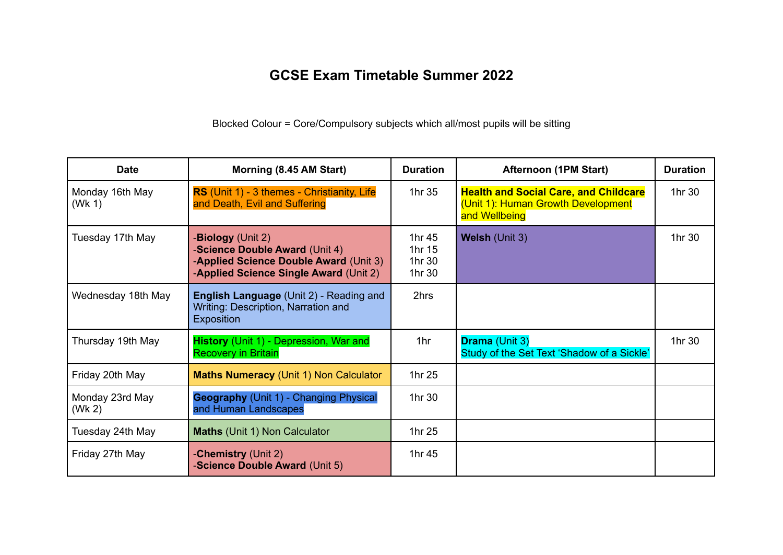## **GCSE Exam Timetable Summer 2022**

Blocked Colour = Core/Compulsory subjects which all/most pupils will be sitting

| <b>Date</b>               | Morning (8.45 AM Start)                                                                                                                         | <b>Duration</b>                      | <b>Afternoon (1PM Start)</b>                                                                        | <b>Duration</b> |
|---------------------------|-------------------------------------------------------------------------------------------------------------------------------------------------|--------------------------------------|-----------------------------------------------------------------------------------------------------|-----------------|
| Monday 16th May<br>(Wk 1) | RS (Unit 1) - 3 themes - Christianity, Life<br>and Death, Evil and Suffering                                                                    | 1hr 35                               | <b>Health and Social Care, and Childcare</b><br>(Unit 1): Human Growth Development<br>and Wellbeing | 1hr 30          |
| Tuesday 17th May          | - <b>Biology</b> (Unit 2)<br>-Science Double Award (Unit 4)<br>-Applied Science Double Award (Unit 3)<br>-Applied Science Single Award (Unit 2) | 1hr 45<br>1hr 15<br>1hr 30<br>1hr 30 | Welsh (Unit 3)                                                                                      | 1hr 30          |
| Wednesday 18th May        | <b>English Language (Unit 2) - Reading and</b><br>Writing: Description, Narration and<br>Exposition                                             | 2hrs                                 |                                                                                                     |                 |
| Thursday 19th May         | History (Unit 1) - Depression, War and<br><b>Recovery in Britain</b>                                                                            | 1hr                                  | <b>Drama (Unit 3)</b><br>Study of the Set Text 'Shadow of a Sickle'                                 | 1hr 30          |
| Friday 20th May           | <b>Maths Numeracy (Unit 1) Non Calculator</b>                                                                                                   | 1hr 25                               |                                                                                                     |                 |
| Monday 23rd May<br>(Wk 2) | <b>Geography</b> (Unit 1) - Changing Physical<br>and Human Landscapes                                                                           | 1hr 30                               |                                                                                                     |                 |
| Tuesday 24th May          | <b>Maths (Unit 1) Non Calculator</b>                                                                                                            | 1hr 25                               |                                                                                                     |                 |
| Friday 27th May           | -Chemistry (Unit 2)<br>-Science Double Award (Unit 5)                                                                                           | 1hr 45                               |                                                                                                     |                 |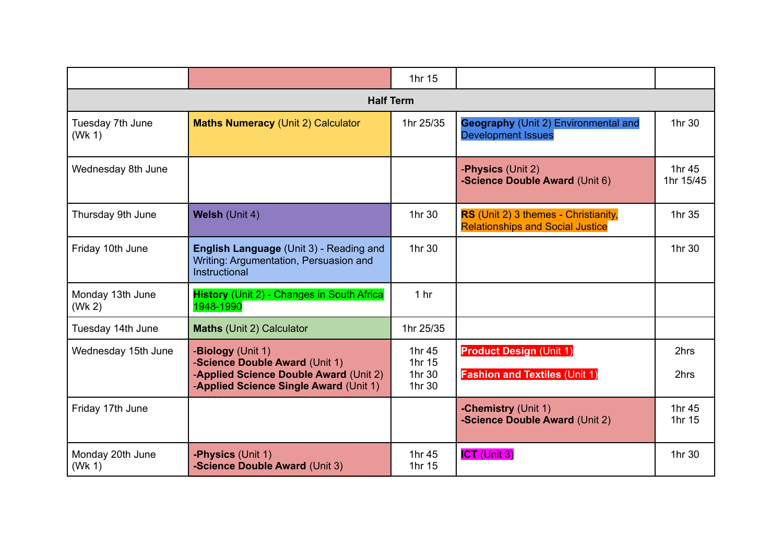|                            |                                                                                                                    | 1hr 15           |                                                                                 |                     |  |  |  |  |
|----------------------------|--------------------------------------------------------------------------------------------------------------------|------------------|---------------------------------------------------------------------------------|---------------------|--|--|--|--|
| <b>Half Term</b>           |                                                                                                                    |                  |                                                                                 |                     |  |  |  |  |
| Tuesday 7th June<br>(Wk 1) | <b>Maths Numeracy (Unit 2) Calculator</b>                                                                          | 1hr 25/35        | <b>Geography (Unit 2) Environmental and</b><br><b>Development Issues</b>        | 1hr 30              |  |  |  |  |
| Wednesday 8th June         |                                                                                                                    |                  | -Physics (Unit 2)<br>-Science Double Award (Unit 6)                             | 1hr 45<br>1hr 15/45 |  |  |  |  |
| Thursday 9th June          | Welsh (Unit 4)                                                                                                     | 1hr 30           | RS (Unit 2) 3 themes - Christianity,<br><b>Relationships and Social Justice</b> | 1hr 35              |  |  |  |  |
| Friday 10th June           | English Language (Unit 3) - Reading and<br>Writing: Argumentation, Persuasion and<br>Instructional                 | 1hr 30           |                                                                                 | 1hr 30              |  |  |  |  |
| Monday 13th June<br>(Wk 2) | <b>History</b> (Unit 2) - Changes in South Africa<br>1948-1990                                                     | 1 <sub>hr</sub>  |                                                                                 |                     |  |  |  |  |
| Tuesday 14th June          | Maths (Unit 2) Calculator                                                                                          | 1hr 25/35        |                                                                                 |                     |  |  |  |  |
| Wednesday 15th June        | -Biology (Unit 1)                                                                                                  | 1hr 45<br>1hr 15 | <b>Product Design (Unit 1)</b>                                                  | 2hrs                |  |  |  |  |
|                            | -Science Double Award (Unit 1)<br>-Applied Science Double Award (Unit 2)<br>-Applied Science Single Award (Unit 1) | 1hr 30<br>1hr 30 | <b>Fashion and Textiles (Unit 1)</b>                                            | 2hrs                |  |  |  |  |
| Friday 17th June           |                                                                                                                    |                  | -Chemistry (Unit 1)<br>-Science Double Award (Unit 2)                           | 1hr 45<br>1hr 15    |  |  |  |  |
| Monday 20th June<br>(Wk 1) | -Physics (Unit 1)<br>-Science Double Award (Unit 3)                                                                | 1hr 45<br>1hr 15 | <b>ICT</b> (Unit 3)                                                             | 1hr 30              |  |  |  |  |